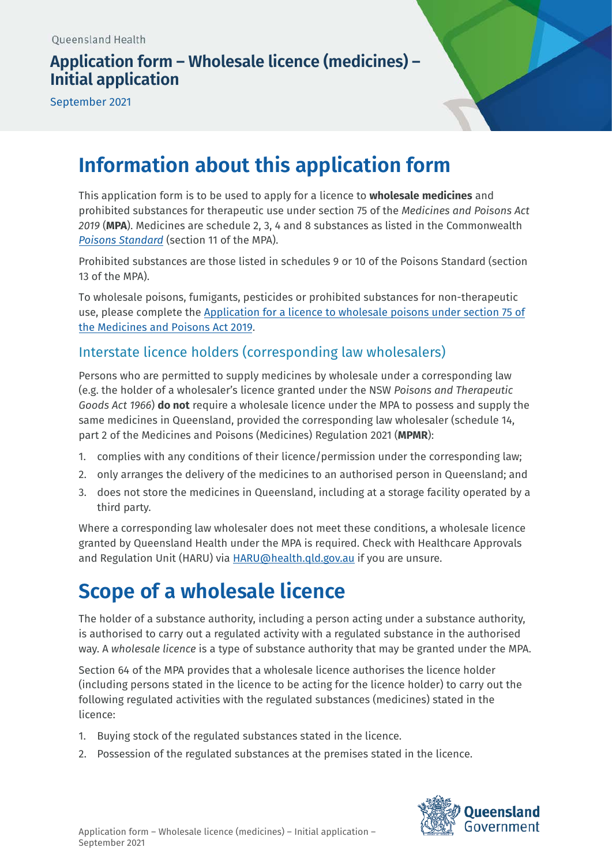# **Application form – Wholesale licence (medicines) – Initial application**

September 2021



# **Information about this application form**

This application form is to be used to apply for a licence to **wholesale medicines** and prohibited substances for therapeutic use under section 75 of the *Medicines and Poisons Act 2019* (**MPA**). Medicines are schedule 2, 3, 4 and 8 substances as listed in the Commonwealth *Poisons Standard* (section 11 of the MPA).

Prohibited substances are those listed in schedules 9 or 10 of the Poisons Standard (section 13 of the MPA).

To wholesale poisons, fumigants, pesticides or prohibited substances for non-therapeutic [use, please complete the Application for a licence to wholesale poisons under section 75 of](https://www.health.qld.gov.au/system-governance/licences/medicines-poisons/poisons/forms-fees) the Medicines and Poisons Act 2019.

# Interstate licence holders (corresponding law wholesalers)

Persons who are permitted to supply medicines by wholesale under a corresponding law (e.g. the holder of a wholesaler's licence granted under the NSW *Poisons and Therapeutic Goods Act 1966*) **do not** require a wholesale licence under the MPA to possess and supply the same medicines in Queensland, provided the corresponding law wholesaler (schedule 14, part 2 of the Medicines and Poisons (Medicines) Regulation 2021 (**MPMR**):

- 1. complies with any conditions of their licence/permission under the corresponding law;
- 2. only arranges the delivery of the medicines to an authorised person in Queensland; and
- 3. does not store the medicines in Queensland, including at a storage facility operated by a third party.

Where a corresponding law wholesaler does not meet these conditions, a wholesale licence granted by Queensland Health under the MPA is required. Check with Healthcare Approvals and Regulation Unit (HARU) via **HARU@health.gld.gov.au** if you are unsure.

# **Scope of a wholesale licence**

The holder of a substance authority, including a person acting under a substance authority, is authorised to carry out a regulated activity with a regulated substance in the authorised way. A *wholesale licence* is a type of substance authority that may be granted under the MPA.

Section 64 of the MPA provides that a wholesale licence authorises the licence holder (including persons stated in the licence to be acting for the licence holder) to carry out the following regulated activities with the regulated substances (medicines) stated in the licence:

- 1. Buying stock of the regulated substances stated in the licence.
- 2. Possession of the regulated substances at the premises stated in the licence.

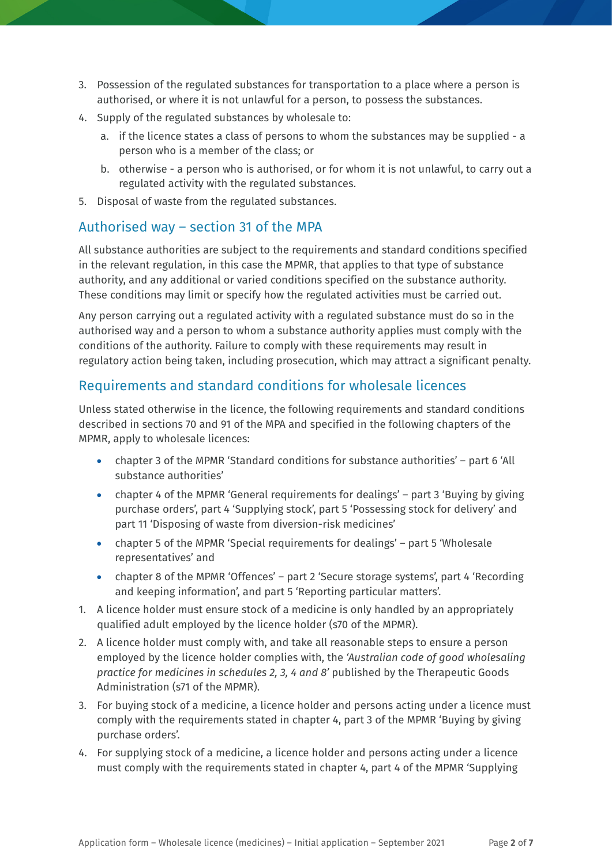- 3. Possession of the regulated substances for transportation to a place where a person is authorised, or where it is not unlawful for a person, to possess the substances.
- 4. Supply of the regulated substances by wholesale to:
	- a. if the licence states a class of persons to whom the substances may be supplied a person who is a member of the class; or
	- b. otherwise a person who is authorised, or for whom it is not unlawful, to carry out a regulated activity with the regulated substances.
- 5. Disposal of waste from the regulated substances.

# Authorised way – section 31 of the MPA

All substance authorities are subject to the requirements and standard conditions specified in the relevant regulation, in this case the MPMR, that applies to that type of substance authority, and any additional or varied conditions specified on the substance authority. These conditions may limit or specify how the regulated activities must be carried out.

Any person carrying out a regulated activity with a regulated substance must do so in the authorised way and a person to whom a substance authority applies must comply with the conditions of the authority. Failure to comply with these requirements may result in regulatory action being taken, including prosecution, which may attract a significant penalty.

# Requirements and standard conditions for wholesale licences

Unless stated otherwise in the licence, the following requirements and standard conditions described in sections 70 and 91 of the MPA and specified in the following chapters of the MPMR, apply to wholesale licences:

- chapter 3 of the MPMR 'Standard conditions for substance authorities' part 6 'All substance authorities'
- chapter 4 of the MPMR 'General requirements for dealings' part 3 'Buying by giving purchase orders', part 4 'Supplying stock', part 5 'Possessing stock for delivery' and part 11 'Disposing of waste from diversion-risk medicines'
- chapter 5 of the MPMR 'Special requirements for dealings' part 5 'Wholesale representatives' and
- chapter 8 of the MPMR 'Offences' part 2 'Secure storage systems', part 4 'Recording and keeping information', and part 5 'Reporting particular matters'.
- 1. A licence holder must ensure stock of a medicine is only handled by an appropriately qualified adult employed by the licence holder (s70 of the MPMR).
- 2. A licence holder must comply with, and take all reasonable steps to ensure a person employed by the licence holder complies with, the *'Australian code of good wholesaling practice for medicines in schedules 2, 3, 4 and 8'* published by the Therapeutic Goods Administration (s71 of the MPMR).
- 3. For buying stock of a medicine, a licence holder and persons acting under a licence must comply with the requirements stated in chapter 4, part 3 of the MPMR 'Buying by giving purchase orders'.
- 4. For supplying stock of a medicine, a licence holder and persons acting under a licence must comply with the requirements stated in chapter 4, part 4 of the MPMR 'Supplying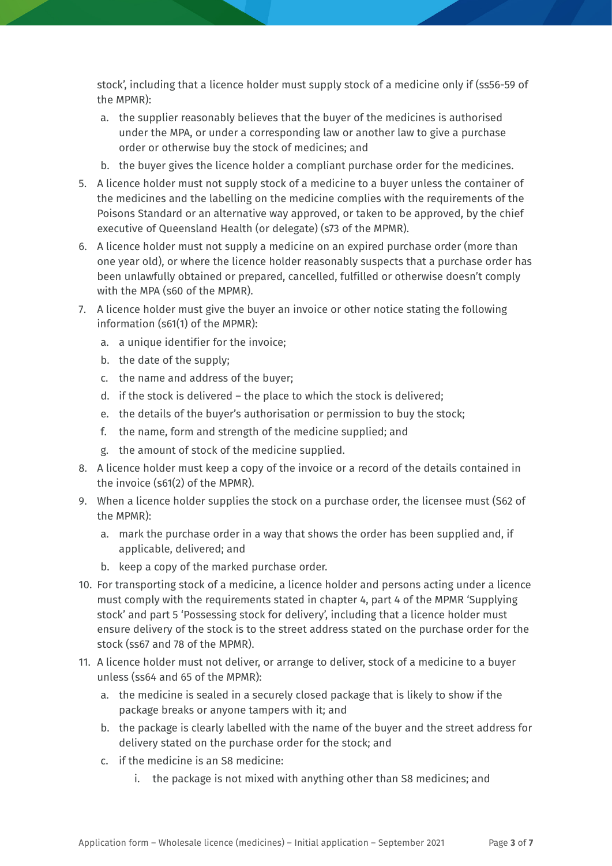stock', including that a licence holder must supply stock of a medicine only if (ss56-59 of the MPMR):

- a. the supplier reasonably believes that the buyer of the medicines is authorised under the MPA, or under a corresponding law or another law to give a purchase order or otherwise buy the stock of medicines; and
- b. the buyer gives the licence holder a compliant purchase order for the medicines.
- 5. A licence holder must not supply stock of a medicine to a buyer unless the container of the medicines and the labelling on the medicine complies with the requirements of the Poisons Standard or an alternative way approved, or taken to be approved, by the chief executive of Queensland Health (or delegate) (s73 of the MPMR).
- 6. A licence holder must not supply a medicine on an expired purchase order (more than one year old), or where the licence holder reasonably suspects that a purchase order has been unlawfully obtained or prepared, cancelled, fulfilled or otherwise doesn't comply with the MPA (s60 of the MPMR).
- 7. A licence holder must give the buyer an invoice or other notice stating the following information (s61(1) of the MPMR):
	- a. a unique identifier for the invoice;
	- b. the date of the supply;
	- c. the name and address of the buyer;
	- d. if the stock is delivered the place to which the stock is delivered;
	- e. the details of the buyer's authorisation or permission to buy the stock;
	- f. the name, form and strength of the medicine supplied; and
	- g. the amount of stock of the medicine supplied.
- 8. A licence holder must keep a copy of the invoice or a record of the details contained in the invoice (s61(2) of the MPMR).
- 9. When a licence holder supplies the stock on a purchase order, the licensee must (S62 of the MPMR):
	- a. mark the purchase order in a way that shows the order has been supplied and, if applicable, delivered; and
	- b. keep a copy of the marked purchase order.
- 10. For transporting stock of a medicine, a licence holder and persons acting under a licence must comply with the requirements stated in chapter 4, part 4 of the MPMR 'Supplying stock' and part 5 'Possessing stock for delivery', including that a licence holder must ensure delivery of the stock is to the street address stated on the purchase order for the stock (ss67 and 78 of the MPMR).
- 11. A licence holder must not deliver, or arrange to deliver, stock of a medicine to a buyer unless (ss64 and 65 of the MPMR):
	- a. the medicine is sealed in a securely closed package that is likely to show if the package breaks or anyone tampers with it; and
	- b. the package is clearly labelled with the name of the buyer and the street address for delivery stated on the purchase order for the stock; and
	- c. if the medicine is an S8 medicine:
		- i. the package is not mixed with anything other than S8 medicines; and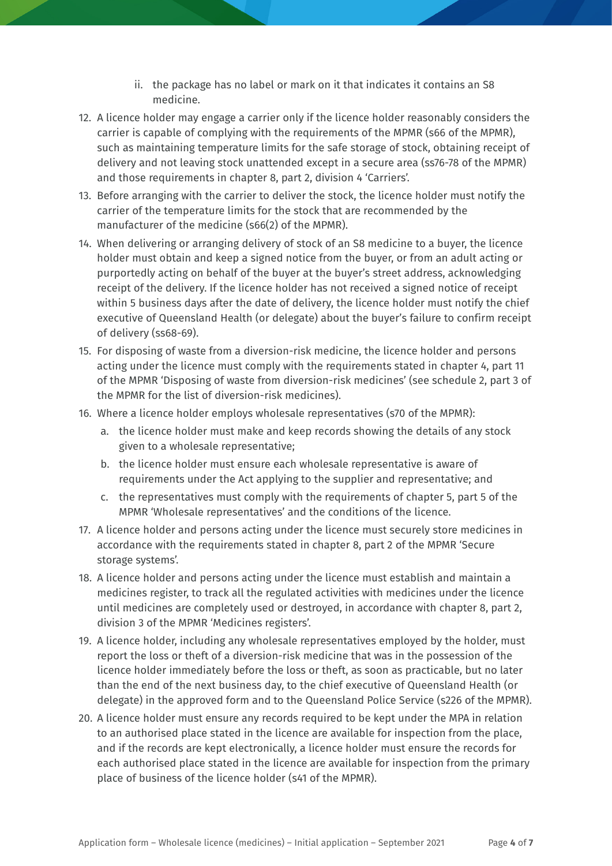- ii. the package has no label or mark on it that indicates it contains an S8 medicine.
- 12. A licence holder may engage a carrier only if the licence holder reasonably considers the carrier is capable of complying with the requirements of the MPMR (s66 of the MPMR), such as maintaining temperature limits for the safe storage of stock, obtaining receipt of delivery and not leaving stock unattended except in a secure area (ss76-78 of the MPMR) and those requirements in chapter 8, part 2, division 4 'Carriers'.
- 13. Before arranging with the carrier to deliver the stock, the licence holder must notify the carrier of the temperature limits for the stock that are recommended by the manufacturer of the medicine (s66(2) of the MPMR).
- 14. When delivering or arranging delivery of stock of an S8 medicine to a buyer, the licence holder must obtain and keep a signed notice from the buyer, or from an adult acting or purportedly acting on behalf of the buyer at the buyer's street address, acknowledging receipt of the delivery. If the licence holder has not received a signed notice of receipt within 5 business days after the date of delivery, the licence holder must notify the chief executive of Queensland Health (or delegate) about the buyer's failure to confirm receipt of delivery (ss68-69).
- 15. For disposing of waste from a diversion-risk medicine, the licence holder and persons acting under the licence must comply with the requirements stated in chapter 4, part 11 of the MPMR 'Disposing of waste from diversion-risk medicines' (see schedule 2, part 3 of the MPMR for the list of diversion-risk medicines).
- 16. Where a licence holder employs wholesale representatives (s70 of the MPMR):
	- a. the licence holder must make and keep records showing the details of any stock given to a wholesale representative;
	- b. the licence holder must ensure each wholesale representative is aware of requirements under the Act applying to the supplier and representative; and
	- c. the representatives must comply with the requirements of chapter 5, part 5 of the MPMR 'Wholesale representatives' and the conditions of the licence.
- 17. A licence holder and persons acting under the licence must securely store medicines in accordance with the requirements stated in chapter 8, part 2 of the MPMR 'Secure storage systems'.
- 18. A licence holder and persons acting under the licence must establish and maintain a medicines register, to track all the regulated activities with medicines under the licence until medicines are completely used or destroyed, in accordance with chapter 8, part 2, division 3 of the MPMR 'Medicines registers'.
- 19. A licence holder, including any wholesale representatives employed by the holder, must report the loss or theft of a diversion-risk medicine that was in the possession of the licence holder immediately before the loss or theft, as soon as practicable, but no later than the end of the next business day, to the chief executive of Queensland Health (or delegate) in the approved form and to the Queensland Police Service (s226 of the MPMR).
- 20. A licence holder must ensure any records required to be kept under the MPA in relation to an authorised place stated in the licence are available for inspection from the place, and if the records are kept electronically, a licence holder must ensure the records for each authorised place stated in the licence are available for inspection from the primary place of business of the licence holder (s41 of the MPMR).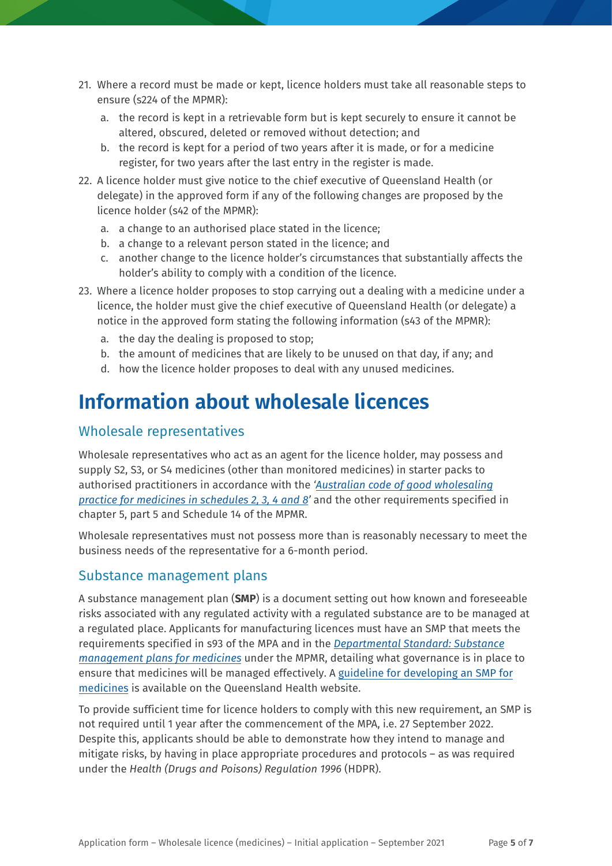- 21. Where a record must be made or kept, licence holders must take all reasonable steps to ensure (s224 of the MPMR):
	- a. the record is kept in a retrievable form but is kept securely to ensure it cannot be altered, obscured, deleted or removed without detection; and
	- b. the record is kept for a period of two years after it is made, or for a medicine register, for two years after the last entry in the register is made.
- 22. A licence holder must give notice to the chief executive of Queensland Health (or delegate) in the approved form if any of the following changes are proposed by the licence holder (s42 of the MPMR):
	- a. a change to an authorised place stated in the licence;
	- b. a change to a relevant person stated in the licence; and
	- c. another change to the licence holder's circumstances that substantially affects the holder's ability to comply with a condition of the licence.
- 23. Where a licence holder proposes to stop carrying out a dealing with a medicine under a licence, the holder must give the chief executive of Queensland Health (or delegate) a notice in the approved form stating the following information (s43 of the MPMR):
	- a. the day the dealing is proposed to stop;
	- b. the amount of medicines that are likely to be unused on that day, if any; and
	- d. how the licence holder proposes to deal with any unused medicines.

# **Information about wholesale licences**

### Wholesale representatives

Wholesale representatives who act as an agent for the licence holder, may possess and supply S2, S3, or S4 medicines (other than monitored medicines) in starter packs to authorised practitioners in accordance with the *['Australian code of good wholesaling](https://www.tga.gov.au/publication/australian-code-good-wholesaling-practice-medicines-schedules-2-3-4-8) [practice for medicines in schedules 2, 3, 4 and 8'](https://www.tga.gov.au/publication/australian-code-good-wholesaling-practice-medicines-schedules-2-3-4-8)* and the other requirements specified in chapter 5, part 5 and Schedule 14 of the MPMR.

Wholesale representatives must not possess more than is reasonably necessary to meet the business needs of the representative for a 6-month period.

### Substance management plans

A substance management plan (**SMP**) is a document setting out how known and foreseeable risks associated with any regulated activity with a regulated substance are to be managed at a regulated place. Applicants for manufacturing licences must have an SMP that meets the [requirements specified in s93 of the](https://www.health.qld.gov.au/publications/system-governance/licences/medicines-poisons/mpa/ds-substance-management-plans-medicines.pdf) MPA and in the *[Departmental Standard: Substance](https://www.health.qld.gov.au/publications/system-governance/licences/medicines-poisons/mpa/ds-substance-management-plans-medicines.pdf) [management plans for medicines](https://www.health.qld.gov.au/publications/system-governance/licences/medicines-poisons/mpa/ds-substance-management-plans-medicines.pdf)* under the MPMR, detailing what governance is in place to ensure that medicines will be managed effectively. A guideline for developing an SMP for medicines [is available on the Queensland Health website.](https://www.health.qld.gov.au/publications/system-governance/licences/medicines-poisons/mpa/guide-smp-medicines.pdf) 

To provide sufficient time for licence holders to comply with this new requirement, an SMP is not required until 1 year after the commencement of the MPA, i.e. 27 September 2022. Despite this, applicants should be able to demonstrate how they intend to manage and mitigate risks, by having in place appropriate procedures and protocols – as was required under the *Health (Drugs and Poisons) Regulation 1996* (HDPR).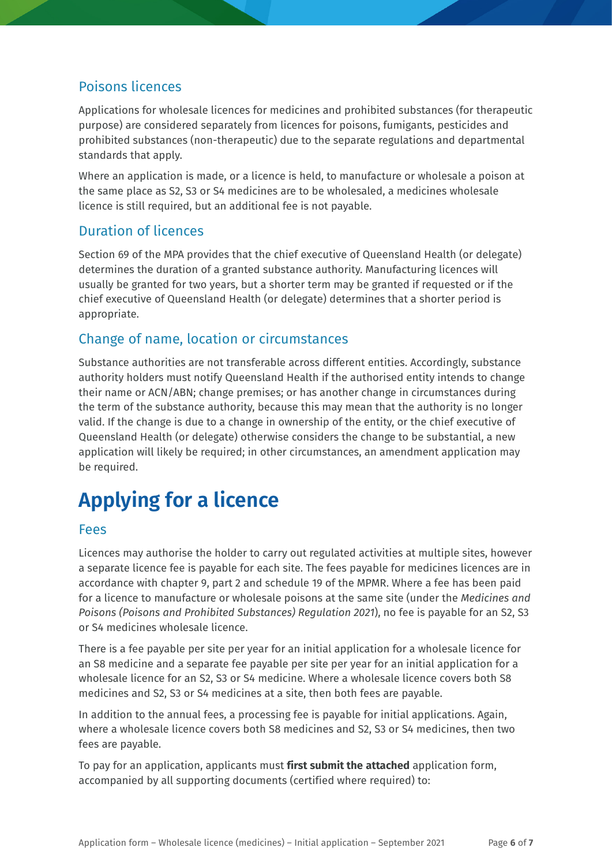# Poisons licences

Applications for wholesale licences for medicines and prohibited substances (for therapeutic purpose) are considered separately from licences for poisons, fumigants, pesticides and prohibited substances (non-therapeutic) due to the separate regulations and departmental standards that apply.

Where an application is made, or a licence is held, to manufacture or wholesale a poison at the same place as S2, S3 or S4 medicines are to be wholesaled, a medicines wholesale licence is still required, but an additional fee is not payable.

### Duration of licences

Section 69 of the MPA provides that the chief executive of Queensland Health (or delegate) determines the duration of a granted substance authority. Manufacturing licences will usually be granted for two years, but a shorter term may be granted if requested or if the chief executive of Queensland Health (or delegate) determines that a shorter period is appropriate.

# Change of name, location or circumstances

Substance authorities are not transferable across different entities. Accordingly, substance authority holders must notify Queensland Health if the authorised entity intends to change their name or ACN/ABN; change premises; or has another change in circumstances during the term of the substance authority, because this may mean that the authority is no longer valid. If the change is due to a change in ownership of the entity, or the chief executive of Queensland Health (or delegate) otherwise considers the change to be substantial, a new application will likely be required; in other circumstances, an amendment application may be required.

# **Applying for a licence**

### Fees

Licences may authorise the holder to carry out regulated activities at multiple sites, however a separate licence fee is payable for each site. The fees payable for medicines licences are in accordance with chapter 9, part 2 and schedule 19 of the MPMR. Where a fee has been paid for a licence to manufacture or wholesale poisons at the same site (under the *Medicines and Poisons (Poisons and Prohibited Substances) Regulation 2021*), no fee is payable for an S2, S3 or S4 medicines wholesale licence.

There is a fee payable per site per year for an initial application for a wholesale licence for an S8 medicine and a separate fee payable per site per year for an initial application for a wholesale licence for an S2, S3 or S4 medicine. Where a wholesale licence covers both S8 medicines and S2, S3 or S4 medicines at a site, then both fees are payable.

In addition to the annual fees, a processing fee is payable for initial applications. Again, where a wholesale licence covers both S8 medicines and S2, S3 or S4 medicines, then two fees are payable.

To pay for an application, applicants must **first submit the attached** application form, accompanied by all supporting documents (certified where required) to: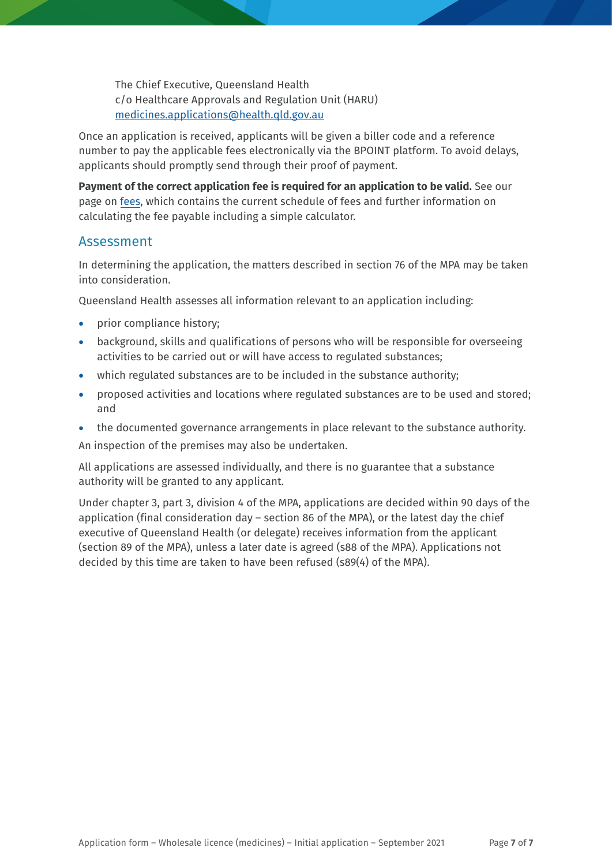The Chief Executive, Queensland Health c/o Healthcare Approvals and Regulation Unit (HARU) [medicines.applications@health.qld.gov.au](mailto:medicines.applications@health.qld.gov.au)

Once an application is received, applicants will be given a biller code and a reference number to pay the applicable fees electronically via the BPOINT platform. To avoid delays, applicants should promptly send through their proof of payment.

**Payment of the correct application fee is required for an application to be valid.** See our page on [fees,](https://www.health.qld.gov.au/system-governance/licences/medicines-poisons/medicines/licensing/fees) which contains the current schedule of fees and further information on calculating the fee payable including a simple calculator.

### Assessment

In determining the application, the matters described in section 76 of the MPA may be taken into consideration.

Queensland Health assesses all information relevant to an application including:

- prior compliance history;
- background, skills and qualifications of persons who will be responsible for overseeing activities to be carried out or will have access to regulated substances;
- which regulated substances are to be included in the substance authority;
- proposed activities and locations where regulated substances are to be used and stored; and
- the documented governance arrangements in place relevant to the substance authority.

An inspection of the premises may also be undertaken.

All applications are assessed individually, and there is no guarantee that a substance authority will be granted to any applicant.

Under chapter 3, part 3, division 4 of the MPA, applications are decided within 90 days of the application (final consideration day – section 86 of the MPA), or the latest day the chief executive of Queensland Health (or delegate) receives information from the applicant (section 89 of the MPA), unless a later date is agreed (s88 of the MPA). Applications not decided by this time are taken to have been refused (s89(4) of the MPA).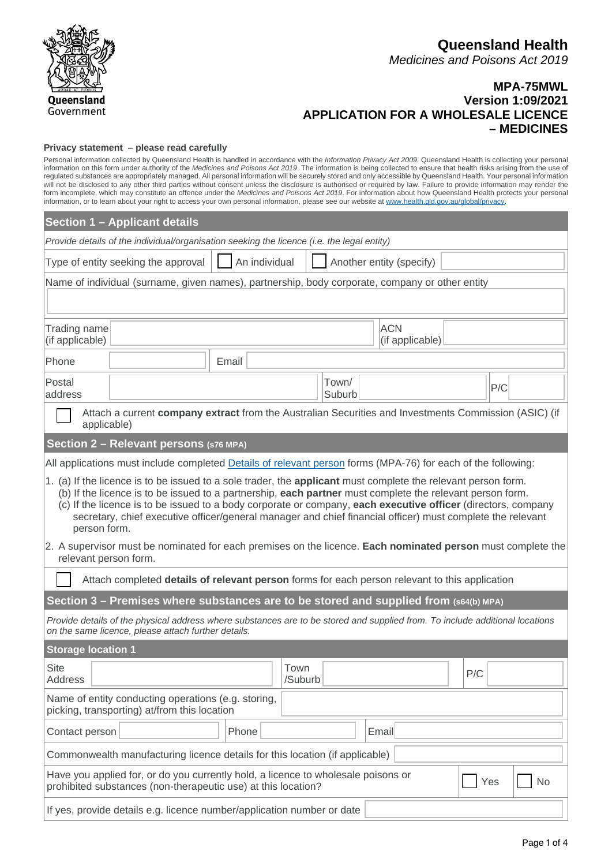

### **MPA-75MWL Version 1:09/2021 APPLICATION FOR A WHOLESALE LICENCE – MEDICINES**

#### **Privacy statement – please read carefully**

Personal information collected by Queensland Health is handled in accordance with the *Information Privacy Act 2009*. Queensland Health is collecting your personal information on this form under authority of the *Medicines and Poisons Act 2019*. The information is being collected to ensure that health risks arising from the use of regulated substances are appropriately managed. All personal information will be securely stored and only accessible by Queensland Health. Your personal information will not be disclosed to any other third parties without consent unless the disclosure is authorised or required by law. Failure to provide information may render the form incomplete, which may constitute an offence under the *Medicines and Poisons Act 2019*. For information about how Queensland Health protects your personal information, or to learn about your right to access your own personal information, please see our website at www.health.qld.gov.au/global/privacy.

|                                                                                                                                                                                                                                                                                                                                                                                                                                                                                                                                                                                          | <b>Section 1 - Applicant details</b>                                                                                                               |       |                 |  |  |  |  |     |  |           |
|------------------------------------------------------------------------------------------------------------------------------------------------------------------------------------------------------------------------------------------------------------------------------------------------------------------------------------------------------------------------------------------------------------------------------------------------------------------------------------------------------------------------------------------------------------------------------------------|----------------------------------------------------------------------------------------------------------------------------------------------------|-------|-----------------|--|--|--|--|-----|--|-----------|
| Provide details of the individual/organisation seeking the licence (i.e. the legal entity)                                                                                                                                                                                                                                                                                                                                                                                                                                                                                               |                                                                                                                                                    |       |                 |  |  |  |  |     |  |           |
|                                                                                                                                                                                                                                                                                                                                                                                                                                                                                                                                                                                          | An individual<br>Type of entity seeking the approval<br>Another entity (specify)                                                                   |       |                 |  |  |  |  |     |  |           |
|                                                                                                                                                                                                                                                                                                                                                                                                                                                                                                                                                                                          | Name of individual (surname, given names), partnership, body corporate, company or other entity                                                    |       |                 |  |  |  |  |     |  |           |
|                                                                                                                                                                                                                                                                                                                                                                                                                                                                                                                                                                                          |                                                                                                                                                    |       |                 |  |  |  |  |     |  |           |
| Trading name<br>(if applicable)                                                                                                                                                                                                                                                                                                                                                                                                                                                                                                                                                          | <b>ACN</b><br>(if applicable)                                                                                                                      |       |                 |  |  |  |  |     |  |           |
| Phone                                                                                                                                                                                                                                                                                                                                                                                                                                                                                                                                                                                    |                                                                                                                                                    | Email |                 |  |  |  |  |     |  |           |
| Postal<br>address                                                                                                                                                                                                                                                                                                                                                                                                                                                                                                                                                                        | Town/<br>P/C<br>Suburb                                                                                                                             |       |                 |  |  |  |  |     |  |           |
| applicable)                                                                                                                                                                                                                                                                                                                                                                                                                                                                                                                                                                              | Attach a current company extract from the Australian Securities and Investments Commission (ASIC) (if                                              |       |                 |  |  |  |  |     |  |           |
|                                                                                                                                                                                                                                                                                                                                                                                                                                                                                                                                                                                          | Section 2 - Relevant persons (s76 MPA)                                                                                                             |       |                 |  |  |  |  |     |  |           |
|                                                                                                                                                                                                                                                                                                                                                                                                                                                                                                                                                                                          | All applications must include completed Details of relevant person forms (MPA-76) for each of the following:                                       |       |                 |  |  |  |  |     |  |           |
| 1. (a) If the licence is to be issued to a sole trader, the applicant must complete the relevant person form.<br>(b) If the licence is to be issued to a partnership, each partner must complete the relevant person form.<br>(c) If the licence is to be issued to a body corporate or company, each executive officer (directors, company<br>secretary, chief executive officer/general manager and chief financial officer) must complete the relevant<br>person form.<br>2. A supervisor must be nominated for each premises on the licence. Each nominated person must complete the |                                                                                                                                                    |       |                 |  |  |  |  |     |  |           |
| relevant person form.                                                                                                                                                                                                                                                                                                                                                                                                                                                                                                                                                                    |                                                                                                                                                    |       |                 |  |  |  |  |     |  |           |
| Attach completed details of relevant person forms for each person relevant to this application                                                                                                                                                                                                                                                                                                                                                                                                                                                                                           |                                                                                                                                                    |       |                 |  |  |  |  |     |  |           |
| Section 3 – Premises where substances are to be stored and supplied from (s64(b) MPA)                                                                                                                                                                                                                                                                                                                                                                                                                                                                                                    |                                                                                                                                                    |       |                 |  |  |  |  |     |  |           |
| Provide details of the physical address where substances are to be stored and supplied from. To include additional locations<br>on the same licence, please attach further details.                                                                                                                                                                                                                                                                                                                                                                                                      |                                                                                                                                                    |       |                 |  |  |  |  |     |  |           |
| <b>Storage location 1</b>                                                                                                                                                                                                                                                                                                                                                                                                                                                                                                                                                                |                                                                                                                                                    |       |                 |  |  |  |  |     |  |           |
| <b>Site</b><br><b>Address</b>                                                                                                                                                                                                                                                                                                                                                                                                                                                                                                                                                            |                                                                                                                                                    |       | Town<br>/Suburb |  |  |  |  | P/C |  |           |
|                                                                                                                                                                                                                                                                                                                                                                                                                                                                                                                                                                                          | Name of entity conducting operations (e.g. storing,<br>picking, transporting) at/from this location                                                |       |                 |  |  |  |  |     |  |           |
| Contact person                                                                                                                                                                                                                                                                                                                                                                                                                                                                                                                                                                           | Email<br>Phone                                                                                                                                     |       |                 |  |  |  |  |     |  |           |
| Commonwealth manufacturing licence details for this location (if applicable)                                                                                                                                                                                                                                                                                                                                                                                                                                                                                                             |                                                                                                                                                    |       |                 |  |  |  |  |     |  |           |
|                                                                                                                                                                                                                                                                                                                                                                                                                                                                                                                                                                                          | Have you applied for, or do you currently hold, a licence to wholesale poisons or<br>prohibited substances (non-therapeutic use) at this location? |       |                 |  |  |  |  | Yes |  | <b>No</b> |
|                                                                                                                                                                                                                                                                                                                                                                                                                                                                                                                                                                                          | If yes, provide details e.g. licence number/application number or date                                                                             |       |                 |  |  |  |  |     |  |           |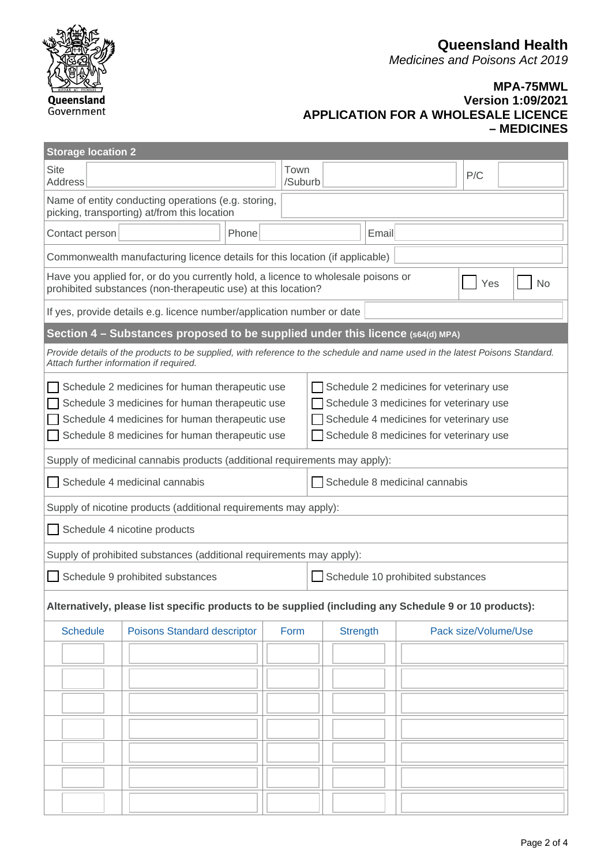**Queensland Health**

*Medicines and Poisons Act 2019*



### **MPA-75MWL Version 1:09/2021 APPLICATION FOR A WHOLESALE LICENCE – MEDICINES**

| <b>Storage location 2</b>                                                                                                                                                                                                                                                                                                                                                        |                                                                                                                                                    |                               |  |                 |                 |  |                      |    |  |  |  |  |  |
|----------------------------------------------------------------------------------------------------------------------------------------------------------------------------------------------------------------------------------------------------------------------------------------------------------------------------------------------------------------------------------|----------------------------------------------------------------------------------------------------------------------------------------------------|-------------------------------|--|-----------------|-----------------|--|----------------------|----|--|--|--|--|--|
| <b>Site</b><br>Address                                                                                                                                                                                                                                                                                                                                                           |                                                                                                                                                    |                               |  | Town<br>/Suburb |                 |  | P/C                  |    |  |  |  |  |  |
| Name of entity conducting operations (e.g. storing,<br>picking, transporting) at/from this location                                                                                                                                                                                                                                                                              |                                                                                                                                                    |                               |  |                 |                 |  |                      |    |  |  |  |  |  |
| Contact person                                                                                                                                                                                                                                                                                                                                                                   | Phone                                                                                                                                              |                               |  |                 |                 |  | Email                |    |  |  |  |  |  |
|                                                                                                                                                                                                                                                                                                                                                                                  | Commonwealth manufacturing licence details for this location (if applicable)                                                                       |                               |  |                 |                 |  |                      |    |  |  |  |  |  |
|                                                                                                                                                                                                                                                                                                                                                                                  | Have you applied for, or do you currently hold, a licence to wholesale poisons or<br>prohibited substances (non-therapeutic use) at this location? |                               |  |                 |                 |  | Yes                  | No |  |  |  |  |  |
|                                                                                                                                                                                                                                                                                                                                                                                  | If yes, provide details e.g. licence number/application number or date                                                                             |                               |  |                 |                 |  |                      |    |  |  |  |  |  |
|                                                                                                                                                                                                                                                                                                                                                                                  | Section 4 - Substances proposed to be supplied under this licence (s64(d) MPA)                                                                     |                               |  |                 |                 |  |                      |    |  |  |  |  |  |
| Provide details of the products to be supplied, with reference to the schedule and name used in the latest Poisons Standard.<br>Attach further information if required.                                                                                                                                                                                                          |                                                                                                                                                    |                               |  |                 |                 |  |                      |    |  |  |  |  |  |
| Schedule 2 medicines for human therapeutic use<br>Schedule 2 medicines for veterinary use<br>Schedule 3 medicines for human therapeutic use<br>Schedule 3 medicines for veterinary use<br>Schedule 4 medicines for human therapeutic use<br>Schedule 4 medicines for veterinary use<br>Schedule 8 medicines for human therapeutic use<br>Schedule 8 medicines for veterinary use |                                                                                                                                                    |                               |  |                 |                 |  |                      |    |  |  |  |  |  |
|                                                                                                                                                                                                                                                                                                                                                                                  | Supply of medicinal cannabis products (additional requirements may apply):                                                                         |                               |  |                 |                 |  |                      |    |  |  |  |  |  |
|                                                                                                                                                                                                                                                                                                                                                                                  | Schedule 4 medicinal cannabis                                                                                                                      | Schedule 8 medicinal cannabis |  |                 |                 |  |                      |    |  |  |  |  |  |
|                                                                                                                                                                                                                                                                                                                                                                                  | Supply of nicotine products (additional requirements may apply):                                                                                   |                               |  |                 |                 |  |                      |    |  |  |  |  |  |
|                                                                                                                                                                                                                                                                                                                                                                                  | Schedule 4 nicotine products                                                                                                                       |                               |  |                 |                 |  |                      |    |  |  |  |  |  |
| Supply of prohibited substances (additional requirements may apply):                                                                                                                                                                                                                                                                                                             |                                                                                                                                                    |                               |  |                 |                 |  |                      |    |  |  |  |  |  |
| Schedule 9 prohibited substances                                                                                                                                                                                                                                                                                                                                                 | Schedule 10 prohibited substances                                                                                                                  |                               |  |                 |                 |  |                      |    |  |  |  |  |  |
| Alternatively, please list specific products to be supplied (including any Schedule 9 or 10 products):                                                                                                                                                                                                                                                                           |                                                                                                                                                    |                               |  |                 |                 |  |                      |    |  |  |  |  |  |
| <b>Schedule</b>                                                                                                                                                                                                                                                                                                                                                                  | <b>Poisons Standard descriptor</b><br>Form                                                                                                         |                               |  |                 | <b>Strength</b> |  | Pack size/Volume/Use |    |  |  |  |  |  |
|                                                                                                                                                                                                                                                                                                                                                                                  |                                                                                                                                                    |                               |  |                 |                 |  |                      |    |  |  |  |  |  |
|                                                                                                                                                                                                                                                                                                                                                                                  |                                                                                                                                                    |                               |  |                 |                 |  |                      |    |  |  |  |  |  |
|                                                                                                                                                                                                                                                                                                                                                                                  |                                                                                                                                                    |                               |  |                 |                 |  |                      |    |  |  |  |  |  |
|                                                                                                                                                                                                                                                                                                                                                                                  |                                                                                                                                                    |                               |  |                 |                 |  |                      |    |  |  |  |  |  |
|                                                                                                                                                                                                                                                                                                                                                                                  |                                                                                                                                                    |                               |  |                 |                 |  |                      |    |  |  |  |  |  |
|                                                                                                                                                                                                                                                                                                                                                                                  |                                                                                                                                                    |                               |  |                 |                 |  |                      |    |  |  |  |  |  |
|                                                                                                                                                                                                                                                                                                                                                                                  |                                                                                                                                                    |                               |  |                 |                 |  |                      |    |  |  |  |  |  |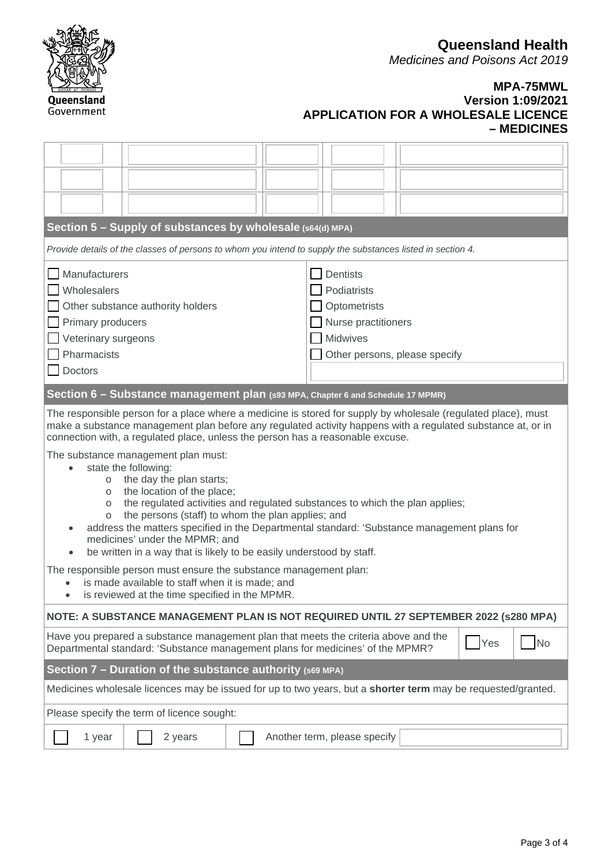**Queensland Health**

*Medicines and Poisons Act 2019*

#### **MPA-75MWL Version 1:09/2021 APPLICATION FOR A WHOLESALE LICENCE – MEDICINES**

|                                                                                                                                                                                                                                                                                                                                                                                                                                                                                                                                                                                                                                                                                                                                                                                                                                                                                                        |                                                                                                   |  | Section 5 - Supply of substances by wholesale (s64(d) MPA)                                                   |  |                              |                                                                                                                           |  |  |  |  |  |  |
|--------------------------------------------------------------------------------------------------------------------------------------------------------------------------------------------------------------------------------------------------------------------------------------------------------------------------------------------------------------------------------------------------------------------------------------------------------------------------------------------------------------------------------------------------------------------------------------------------------------------------------------------------------------------------------------------------------------------------------------------------------------------------------------------------------------------------------------------------------------------------------------------------------|---------------------------------------------------------------------------------------------------|--|--------------------------------------------------------------------------------------------------------------|--|------------------------------|---------------------------------------------------------------------------------------------------------------------------|--|--|--|--|--|--|
|                                                                                                                                                                                                                                                                                                                                                                                                                                                                                                                                                                                                                                                                                                                                                                                                                                                                                                        |                                                                                                   |  | Provide details of the classes of persons to whom you intend to supply the substances listed in section 4.   |  |                              |                                                                                                                           |  |  |  |  |  |  |
| Manufacturers<br>Wholesalers<br>Other substance authority holders<br>Primary producers<br>Veterinary surgeons<br>Pharmacists<br><b>Doctors</b>                                                                                                                                                                                                                                                                                                                                                                                                                                                                                                                                                                                                                                                                                                                                                         |                                                                                                   |  |                                                                                                              |  |                              | <b>Dentists</b><br>Podiatrists<br>Optometrists<br>Nurse practitioners<br><b>Midwives</b><br>Other persons, please specify |  |  |  |  |  |  |
|                                                                                                                                                                                                                                                                                                                                                                                                                                                                                                                                                                                                                                                                                                                                                                                                                                                                                                        |                                                                                                   |  | Section 6 - Substance management plan (s93 MPA, Chapter 6 and Schedule 17 MPMR)                              |  |                              |                                                                                                                           |  |  |  |  |  |  |
| The responsible person for a place where a medicine is stored for supply by wholesale (regulated place), must<br>make a substance management plan before any regulated activity happens with a regulated substance at, or in<br>connection with, a regulated place, unless the person has a reasonable excuse.<br>The substance management plan must:<br>state the following:<br>the day the plan starts;<br>$\circ$<br>the location of the place;<br>$\circ$<br>the regulated activities and regulated substances to which the plan applies;<br>$\circ$<br>the persons (staff) to whom the plan applies; and<br>$\circ$<br>address the matters specified in the Departmental standard: 'Substance management plans for<br>medicines' under the MPMR; and<br>be written in a way that is likely to be easily understood by staff.<br>The responsible person must ensure the substance management plan: |                                                                                                   |  |                                                                                                              |  |                              |                                                                                                                           |  |  |  |  |  |  |
|                                                                                                                                                                                                                                                                                                                                                                                                                                                                                                                                                                                                                                                                                                                                                                                                                                                                                                        | is made available to staff when it is made; and<br>is reviewed at the time specified in the MPMR. |  |                                                                                                              |  |                              |                                                                                                                           |  |  |  |  |  |  |
|                                                                                                                                                                                                                                                                                                                                                                                                                                                                                                                                                                                                                                                                                                                                                                                                                                                                                                        |                                                                                                   |  | NOTE: A SUBSTANCE MANAGEMENT PLAN IS NOT REQUIRED UNTIL 27 SEPTEMBER 2022 (s280 MPA)                         |  |                              |                                                                                                                           |  |  |  |  |  |  |
| Have you prepared a substance management plan that meets the criteria above and the<br>N <sub>o</sub><br>Yes<br>Departmental standard: 'Substance management plans for medicines' of the MPMR?                                                                                                                                                                                                                                                                                                                                                                                                                                                                                                                                                                                                                                                                                                         |                                                                                                   |  |                                                                                                              |  |                              |                                                                                                                           |  |  |  |  |  |  |
| Section 7 - Duration of the substance authority (S69 MPA)                                                                                                                                                                                                                                                                                                                                                                                                                                                                                                                                                                                                                                                                                                                                                                                                                                              |                                                                                                   |  |                                                                                                              |  |                              |                                                                                                                           |  |  |  |  |  |  |
|                                                                                                                                                                                                                                                                                                                                                                                                                                                                                                                                                                                                                                                                                                                                                                                                                                                                                                        |                                                                                                   |  | Medicines wholesale licences may be issued for up to two years, but a shorter term may be requested/granted. |  |                              |                                                                                                                           |  |  |  |  |  |  |
|                                                                                                                                                                                                                                                                                                                                                                                                                                                                                                                                                                                                                                                                                                                                                                                                                                                                                                        |                                                                                                   |  | Please specify the term of licence sought:                                                                   |  |                              |                                                                                                                           |  |  |  |  |  |  |
|                                                                                                                                                                                                                                                                                                                                                                                                                                                                                                                                                                                                                                                                                                                                                                                                                                                                                                        | 1 year                                                                                            |  | 2 years                                                                                                      |  | Another term, please specify |                                                                                                                           |  |  |  |  |  |  |